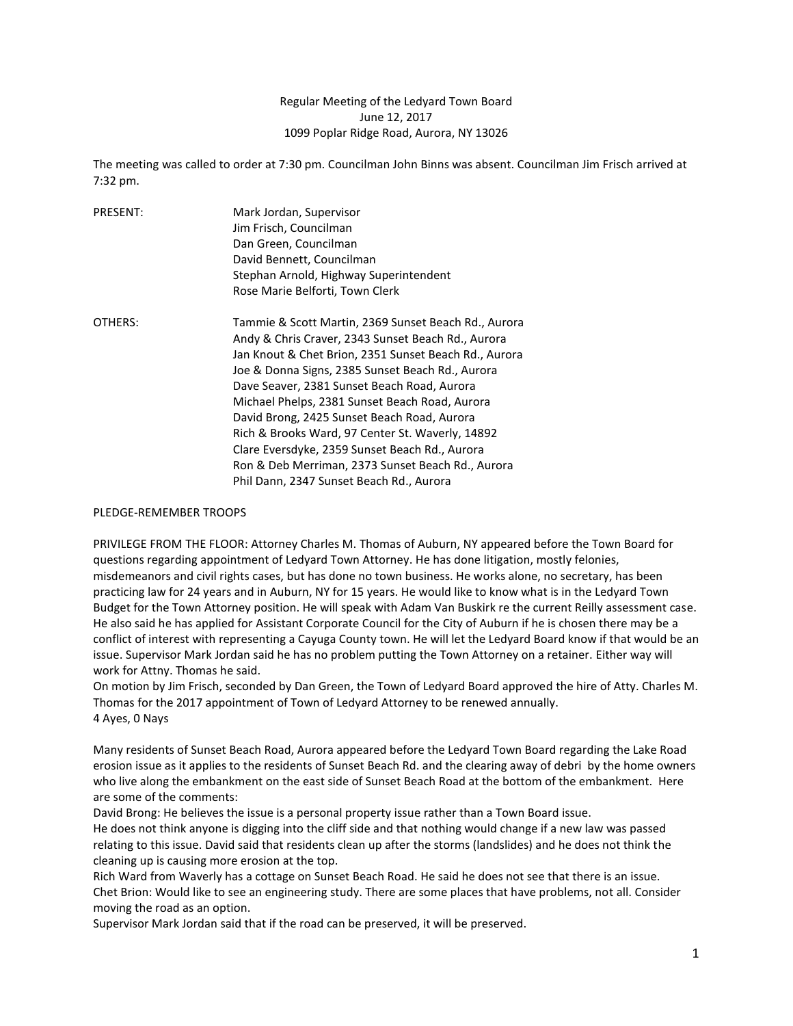## Regular Meeting of the Ledyard Town Board June 12, 2017 1099 Poplar Ridge Road, Aurora, NY 13026

The meeting was called to order at 7:30 pm. Councilman John Binns was absent. Councilman Jim Frisch arrived at 7:32 pm.

| <b>PRESENT:</b> | Mark Jordan, Supervisor                               |
|-----------------|-------------------------------------------------------|
|                 | Jim Frisch, Councilman                                |
|                 | Dan Green, Councilman                                 |
|                 | David Bennett, Councilman                             |
|                 | Stephan Arnold, Highway Superintendent                |
|                 | Rose Marie Belforti, Town Clerk                       |
| OTHERS:         | Tammie & Scott Martin, 2369 Sunset Beach Rd., Aurora  |
|                 | Andy & Chris Craver, 2343 Sunset Beach Rd., Aurora    |
|                 | Jan Knout & Chet Brion, 2351 Sunset Beach Rd., Aurora |
|                 | Joe & Donna Signs, 2385 Sunset Beach Rd., Aurora      |
|                 | Dave Seaver, 2381 Sunset Beach Road, Aurora           |
|                 | Michael Phelps, 2381 Sunset Beach Road, Aurora        |
|                 | David Brong, 2425 Sunset Beach Road, Aurora           |
|                 | Rich & Brooks Ward, 97 Center St. Waverly, 14892      |
|                 | Clare Eversdyke, 2359 Sunset Beach Rd., Aurora        |
|                 | Ron & Deb Merriman, 2373 Sunset Beach Rd., Aurora     |
|                 | Phil Dann, 2347 Sunset Beach Rd., Aurora              |

## PLEDGE-REMEMBER TROOPS

PRIVILEGE FROM THE FLOOR: Attorney Charles M. Thomas of Auburn, NY appeared before the Town Board for questions regarding appointment of Ledyard Town Attorney. He has done litigation, mostly felonies, misdemeanors and civil rights cases, but has done no town business. He works alone, no secretary, has been practicing law for 24 years and in Auburn, NY for 15 years. He would like to know what is in the Ledyard Town Budget for the Town Attorney position. He will speak with Adam Van Buskirk re the current Reilly assessment case. He also said he has applied for Assistant Corporate Council for the City of Auburn if he is chosen there may be a conflict of interest with representing a Cayuga County town. He will let the Ledyard Board know if that would be an issue. Supervisor Mark Jordan said he has no problem putting the Town Attorney on a retainer. Either way will work for Attny. Thomas he said.

On motion by Jim Frisch, seconded by Dan Green, the Town of Ledyard Board approved the hire of Atty. Charles M. Thomas for the 2017 appointment of Town of Ledyard Attorney to be renewed annually. 4 Ayes, 0 Nays

Many residents of Sunset Beach Road, Aurora appeared before the Ledyard Town Board regarding the Lake Road erosion issue as it applies to the residents of Sunset Beach Rd. and the clearing away of debri by the home owners who live along the embankment on the east side of Sunset Beach Road at the bottom of the embankment. Here are some of the comments:

David Brong: He believes the issue is a personal property issue rather than a Town Board issue. He does not think anyone is digging into the cliff side and that nothing would change if a new law was passed relating to this issue. David said that residents clean up after the storms (landslides) and he does not think the cleaning up is causing more erosion at the top.

Rich Ward from Waverly has a cottage on Sunset Beach Road. He said he does not see that there is an issue. Chet Brion: Would like to see an engineering study. There are some places that have problems, not all. Consider moving the road as an option.

Supervisor Mark Jordan said that if the road can be preserved, it will be preserved.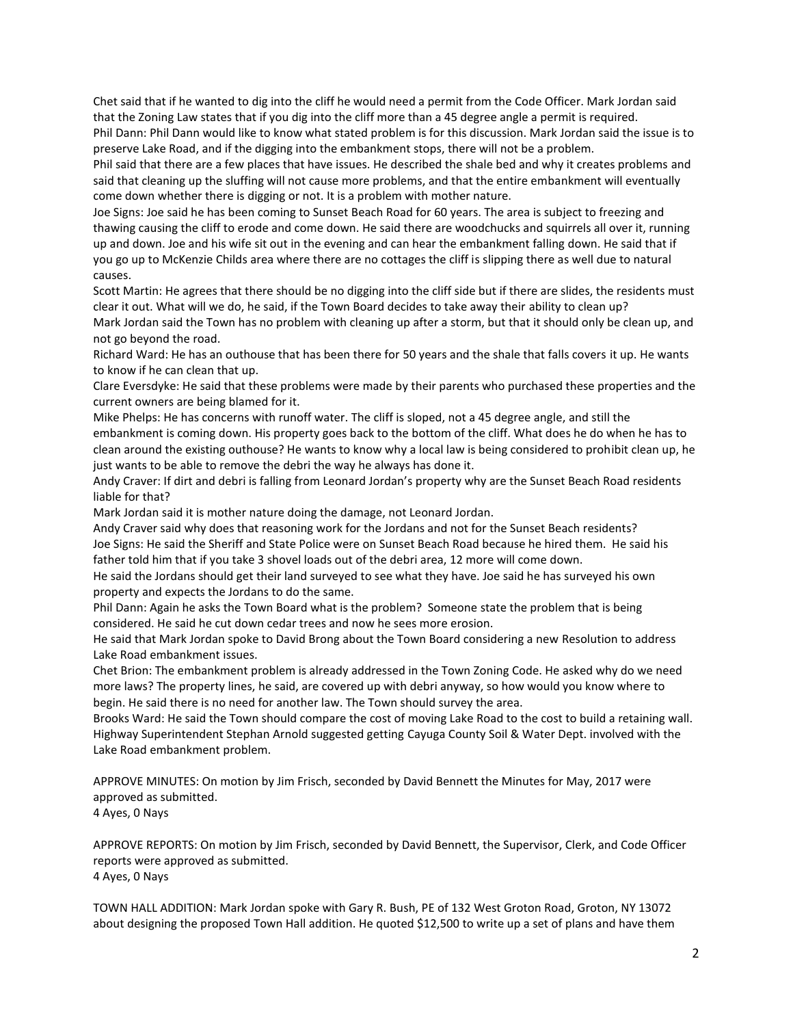Chet said that if he wanted to dig into the cliff he would need a permit from the Code Officer. Mark Jordan said that the Zoning Law states that if you dig into the cliff more than a 45 degree angle a permit is required. Phil Dann: Phil Dann would like to know what stated problem is for this discussion. Mark Jordan said the issue is to preserve Lake Road, and if the digging into the embankment stops, there will not be a problem.

Phil said that there are a few places that have issues. He described the shale bed and why it creates problems and said that cleaning up the sluffing will not cause more problems, and that the entire embankment will eventually come down whether there is digging or not. It is a problem with mother nature.

Joe Signs: Joe said he has been coming to Sunset Beach Road for 60 years. The area is subject to freezing and thawing causing the cliff to erode and come down. He said there are woodchucks and squirrels all over it, running up and down. Joe and his wife sit out in the evening and can hear the embankment falling down. He said that if you go up to McKenzie Childs area where there are no cottages the cliff is slipping there as well due to natural causes.

Scott Martin: He agrees that there should be no digging into the cliff side but if there are slides, the residents must clear it out. What will we do, he said, if the Town Board decides to take away their ability to clean up?

Mark Jordan said the Town has no problem with cleaning up after a storm, but that it should only be clean up, and not go beyond the road.

Richard Ward: He has an outhouse that has been there for 50 years and the shale that falls covers it up. He wants to know if he can clean that up.

Clare Eversdyke: He said that these problems were made by their parents who purchased these properties and the current owners are being blamed for it.

Mike Phelps: He has concerns with runoff water. The cliff is sloped, not a 45 degree angle, and still the embankment is coming down. His property goes back to the bottom of the cliff. What does he do when he has to clean around the existing outhouse? He wants to know why a local law is being considered to prohibit clean up, he just wants to be able to remove the debri the way he always has done it.

Andy Craver: If dirt and debri is falling from Leonard Jordan's property why are the Sunset Beach Road residents liable for that?

Mark Jordan said it is mother nature doing the damage, not Leonard Jordan.

Andy Craver said why does that reasoning work for the Jordans and not for the Sunset Beach residents? Joe Signs: He said the Sheriff and State Police were on Sunset Beach Road because he hired them. He said his father told him that if you take 3 shovel loads out of the debri area, 12 more will come down.

He said the Jordans should get their land surveyed to see what they have. Joe said he has surveyed his own property and expects the Jordans to do the same.

Phil Dann: Again he asks the Town Board what is the problem? Someone state the problem that is being considered. He said he cut down cedar trees and now he sees more erosion.

He said that Mark Jordan spoke to David Brong about the Town Board considering a new Resolution to address Lake Road embankment issues.

Chet Brion: The embankment problem is already addressed in the Town Zoning Code. He asked why do we need more laws? The property lines, he said, are covered up with debri anyway, so how would you know where to begin. He said there is no need for another law. The Town should survey the area.

Brooks Ward: He said the Town should compare the cost of moving Lake Road to the cost to build a retaining wall. Highway Superintendent Stephan Arnold suggested getting Cayuga County Soil & Water Dept. involved with the Lake Road embankment problem.

APPROVE MINUTES: On motion by Jim Frisch, seconded by David Bennett the Minutes for May, 2017 were approved as submitted.

4 Ayes, 0 Nays

APPROVE REPORTS: On motion by Jim Frisch, seconded by David Bennett, the Supervisor, Clerk, and Code Officer reports were approved as submitted. 4 Ayes, 0 Nays

TOWN HALL ADDITION: Mark Jordan spoke with Gary R. Bush, PE of 132 West Groton Road, Groton, NY 13072 about designing the proposed Town Hall addition. He quoted \$12,500 to write up a set of plans and have them